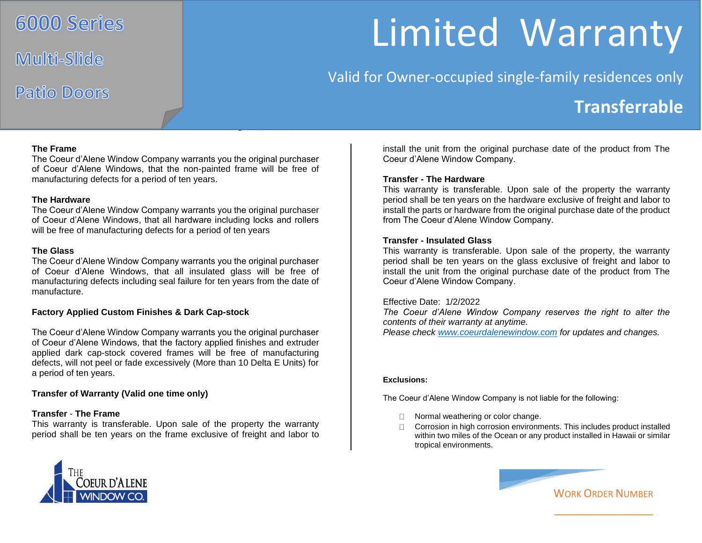## 6000 Series

Multi-Slide

# Patio Doors

# Limited Warranty

Valid for Owner-occupied single-family residences only

### **Transferrable**

#### **The Frame**

The Coeur d'Alene Window Company warrants you the original purchaser of Coeur d'Alene Windows, that the non-painted frame will be free of manufacturing defects for a period of ten years.

#### **The Hardware**

The Coeur d'Alene Window Company warrants you the original purchaser of Coeur d'Alene Windows, that all hardware including locks and rollers will be free of manufacturing defects for a period of ten years

#### **The Glass**

The Coeur d'Alene Window Company warrants you the original purchaser of Coeur d'Alene Windows, that all insulated glass will be free of manufacturing defects including seal failure for ten years from the date of manufacture.

#### **Factory Applied Custom Finishes & Dark Cap-stock**

The Coeur d'Alene Window Company warrants you the original purchaser of Coeur d'Alene Windows, that the factory applied finishes and extruder applied dark cap-stock covered frames will be free of manufacturing defects, will not peel or fade excessively (More than 10 Delta E Units) for a period of ten years.

#### **Transfer of Warranty (Valid one time only)**

#### **Transfer** - **The Frame**

This warranty is transferable. Upon sale of the property the warranty period shall be ten years on the frame exclusive of freight and labor to



install the unit from the original purchase date of the product from The Coeur d'Alene Window Company.

#### **Transfer - The Hardware**

This warranty is transferable. Upon sale of the property the warranty period shall be ten years on the hardware exclusive of freight and labor to install the parts or hardware from the original purchase date of the product from The Coeur d'Alene Window Company.

#### **Transfer - Insulated Glass**

This warranty is transferable. Upon sale of the property, the warranty period shall be ten years on the glass exclusive of freight and labor to install the unit from the original purchase date of the product from The Coeur d'Alene Window Company.

#### Effective Date: 1/2/2022

*The Coeur d'Alene Window Company reserves the right to alter the contents of their warranty at anytime. Please check [www.coeurdalenewindow.com](http://www.coeurdalenewindow.com/) for updates and changes.* 

#### **Exclusions:**

The Coeur d'Alene Window Company is not liable for the following:

- □ Normal weathering or color change.
- Corrosion in high corrosion environments. This includes product installed within two miles of the Ocean or any product installed in Hawaii or similar tropical environments.



\_\_\_\_\_\_\_\_\_\_\_\_\_\_\_\_